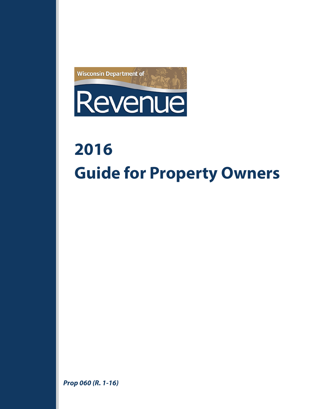

# **2016 Guide for Property Owners**

*Prop 060 (R. 1-16)*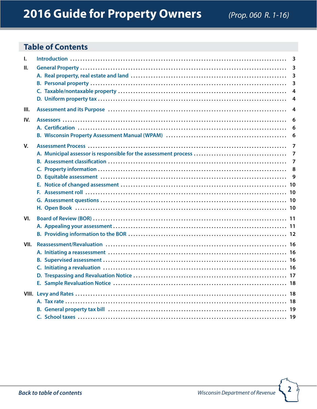## <span id="page-1-0"></span>**Table of Contents**

| $\mathbf{I}$ . | $\overline{\mathbf{3}}$ |
|----------------|-------------------------|
| Н.             | $\overline{3}$          |
|                | $\overline{\mathbf{3}}$ |
|                | $\overline{\mathbf{3}}$ |
|                | $\overline{4}$          |
|                | $\overline{4}$          |
| III.           | $\overline{4}$          |
| IV.            | 6                       |
|                | 6                       |
|                | 6                       |
| V.             |                         |
|                | $\overline{7}$          |
|                | $\overline{7}$          |
|                |                         |
|                | $\overline{9}$          |
|                |                         |
|                |                         |
|                |                         |
|                |                         |
| VI.            |                         |
|                |                         |
|                |                         |
| VII.           |                         |
|                |                         |
|                |                         |
|                |                         |
|                |                         |
|                |                         |
|                |                         |
|                |                         |
|                |                         |
|                |                         |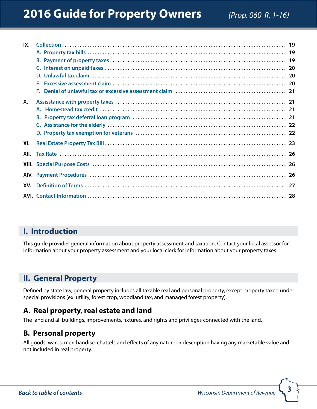## <span id="page-2-0"></span>**2016 Guide for Property Owners** *(Prop. 060 R. 1-16)*

| IX.  |    |  |
|------|----|--|
|      |    |  |
|      |    |  |
|      |    |  |
|      |    |  |
|      |    |  |
|      | Е. |  |
| Χ.   |    |  |
|      |    |  |
|      |    |  |
|      |    |  |
|      |    |  |
| XI.  |    |  |
| XII. |    |  |
|      |    |  |
|      |    |  |
| XV.  |    |  |
|      |    |  |
|      |    |  |

## **I. Introduction**

This guide provides general information about property assessment and taxation. Contact your local assessor for information about your property assessment and your local clerk for information about your property taxes.

## **II. General Property**

Defined by state law, general property includes all taxable real and personal property, except property taxed under special provisions (ex: utility, forest crop, woodland tax, and managed forest property).

## **A. Real property, real estate and land**

The land and all buildings, improvements, fixtures, and rights and privileges connected with the land.

## **B. Personal property**

All goods, wares, merchandise, chattels and effects of any nature or description having any marketable value and not included in real property.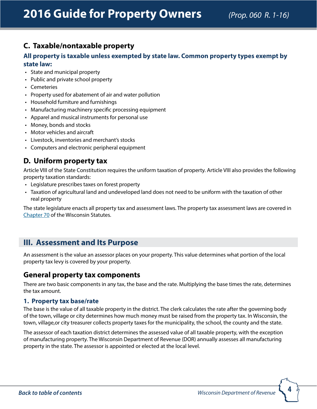## <span id="page-3-0"></span>**2016 Guide for Property Owners** *(Prop. 060 R. 1-16)*

## **C. Taxable/nontaxable property**

#### **All property is taxable unless exempted by state law. Common property types exempt by state law:**

- State and municipal property
- Public and private school property
- Cemeteries
- Property used for abatement of air and water pollution
- Household furniture and furnishings
- Manufacturing machinery specific processing equipment
- Apparel and musical instruments for personal use
- Money, bonds and stocks
- Motor vehicles and aircraft
- Livestock, inventories and merchant's stocks
- Computers and electronic peripheral equipment

## **D. Uniform property tax**

Article VIII of the State Constitution requires the uniform taxation of property. Article VIII also provides the following property taxation standards:

- Legislature prescribes taxes on forest property
- Taxation of agricultural land and undeveloped land does not need to be uniform with the taxation of other real property

The state legislature enacts all property tax and assessment laws. The property tax assessment laws are covered in [Chapter 70](http://docs.legis.wisconsin.gov/statutes/statutes/70/_3) of the Wisconsin Statutes.

## **III. Assessment and Its Purpose**

An assessment is the value an assessor places on your property. This value determines what portion of the local property tax levy is covered by your property.

## **General property tax components**

There are two basic components in any tax, the base and the rate. Multiplying the base times the rate, determines the tax amount.

#### **1. Property tax base/rate**

The base is the value of all taxable property in the district. The clerk calculates the rate after the governing body of the town, village or city determines how much money must be raised from the property tax. In Wisconsin, the town, village,or city treasurer collects property taxes for the municipality, the school, the county and the state.

The assessor of each taxation district determines the assessed value of all taxable property, with the exception of manufacturing property. The Wisconsin Department of Revenue (DOR) annually assesses all manufacturing property in the state. The assessor is appointed or elected at the local level.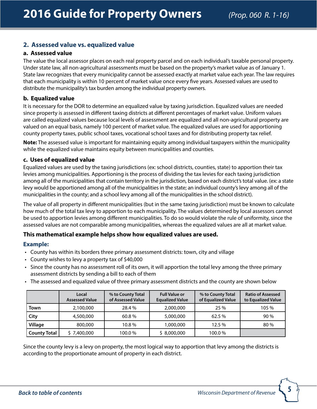#### **2. Assessed value vs. equalized value**

#### **a. Assessed value**

The value the local assessor places on each real property parcel and on each individual's taxable personal property. Under state law, all non-agricultural assessments must be based on the property's market value as of January 1. State law recognizes that every municipality cannot be assessed exactly at market value each year. The law requires that each municipality is within 10 percent of market value once every five years. Assessed values are used to distribute the municipality's tax burden among the individual property owners.

#### **b. Equalized value**

It is necessary for the DOR to determine an equalized value by taxing jurisdiction. Equalized values are needed since property is assessed in different taxing districts at different percentages of market value. Uniform values are called equalized values because local levels of assessment are equalized and all non-agricultural property are valued on an equal basis, namely 100 percent of market value. The equalized values are used for apportioning county property taxes, public school taxes, vocational school taxes and for distributing property tax relief.

**Note:** The assessed value is important for maintaining equity among individual taxpayers within the municipality while the equalized value maintains equity between municipalities and counties.

#### **c. Uses of equalized value**

Equalized values are used by the taxing jurisdictions (ex: school districts, counties, state) to apportion their tax levies among municipalities. Apportioning is the process of dividing the tax levies for each taxing jurisdiction among all of the municipalities that contain territory in the jurisdiction, based on each district's total value. (ex: a state levy would be apportioned among all of the municipalities in the state; an individual county's levy among all of the municipalities in the county; and a school levy among all of the municipalities in the school district).

The value of all property in different municipalities (but in the same taxing jurisdiction) must be known to calculate how much of the total tax levy to apportion to each municipality. The values determined by local assessors cannot be used to apportion levies among different municipalities. To do so would violate the rule of uniformity, since the assessed values are not comparable among municipalities, whereas the equalized values are all at market value.

#### **This mathematical example helps show how equalized values are used.**

#### **Example:**

- County has within its borders three primary assessment districts: town, city and village
- County wishes to levy a property tax of \$40,000
- Since the county has no assessment roll of its own, it will apportion the total levy among the three primary assessment districts by sending a bill to each of them
- The assessed and equalized value of three primary assessment districts and the county are shown below

|                     | Local<br><b>Assessed Value</b> | % to County Total<br>of Assessed Value | <b>Full Value or</b><br><b>Equalized Value</b> | % to County Total<br>of Equalized Value | <b>Ratio of Assessed</b><br>to Equalized Value |
|---------------------|--------------------------------|----------------------------------------|------------------------------------------------|-----------------------------------------|------------------------------------------------|
| Town                | 2,100,000                      | 28.4 %                                 | 2,000,000                                      | 25 %                                    | 105 %                                          |
| City                | 4,500,000                      | 60.8%                                  | 5,000,000                                      | 62.5%                                   | 90%                                            |
| Village             | 800,000                        | 10.8%                                  | 1,000,000                                      | 12.5 %                                  | 80%                                            |
| <b>County Total</b> | 7,400,000                      | 100.0%                                 | \$8,000,000                                    | 100.0%                                  |                                                |

Since the county levy is a levy on property, the most logical way to apportion that levy among the districts is according to the proportionate amount of property in each district.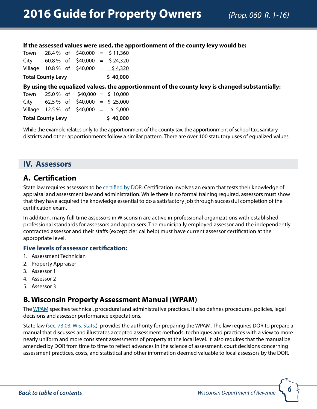## <span id="page-5-0"></span>**2016 Guide for Property Owners** *(Prop. 060 R. 1-16)*

#### **If the assessed values were used, the apportionment of the county levy would be:**

| Du using the courtined velues, the speed |  |  |                                                   |  |  |  |
|------------------------------------------|--|--|---------------------------------------------------|--|--|--|
| \$40,000<br><b>Total County Levy</b>     |  |  |                                                   |  |  |  |
|                                          |  |  | Village 10.8% of \$40,000 = $\frac{1}{2}$ \$4,320 |  |  |  |
| City                                     |  |  | 60.8 % of $$40,000 = $24,320$                     |  |  |  |
| Town                                     |  |  | $28.4\%$ of \$40,000 = \$11,360                   |  |  |  |

**By using the equalized values, the apportionment of the county levy is changed substantially:**

| \$40,000<br><b>Total County Levy</b> |  |  |  |  |                                                |  |
|--------------------------------------|--|--|--|--|------------------------------------------------|--|
|                                      |  |  |  |  | Village 12.5 % of \$40,000 = $\frac{5,000}{ }$ |  |
| City                                 |  |  |  |  | 62.5 % of $$40,000 = $25,000$                  |  |
| Town                                 |  |  |  |  | $25.0\%$ of \$40,000 = \$10,000                |  |

While the example relates only to the apportionment of the county tax, the apportionment of school tax, sanitary districts and other apportionments follow a similar pattern. There are over 100 statutory uses of equalized values.

### **IV. Assessors**

## **A. Certification**

State law requires assessors to be [certified by DOR.](https://www.revenue.wi.gov/training/assess/index.html) Certification involves an exam that tests their knowledge of appraisal and assessment law and administration. While there is no formal training required, assessors must show that they have acquired the knowledge essential to do a satisfactory job through successful completion of the certification exam.

In addition, many full time assessors in Wisconsin are active in professional organizations with established professional standards for assessors and appraisers. The municipally employed assessor and the independently contracted assessor and their staffs (except clerical help) must have current assessor certification at the appropriate level.

#### **Five levels of assessor certification:**

- 1. Assessment Technician
- 2. Property Appraiser
- 3. Assessor 1
- 4. Assessor 2
- 5. Assessor 3

## **B. Wisconsin Property Assessment Manual (WPAM)**

The [WPAM](http://www.revenue.wi.gov/html/govpub.html) specifies technical, procedural and administrative practices. It also defines procedures, policies, legal decisions and assessor performance expectations.

State law [\(sec. 73.03, Wis. Stats.](http://docs.legis.wisconsin.gov/statutes/statutes/73/03)), provides the authority for preparing the WPAM. The law requires DOR to prepare a manual that discusses and illustrates accepted assessment methods, techniques and practices with a view to more nearly uniform and more consistent assessments of property at the local level. It also requires that the manual be amended by DOR from time to time to reflect advances in the science of assessment, court decisions concerning assessment practices, costs, and statistical and other information deemed valuable to local assessors by the DOR.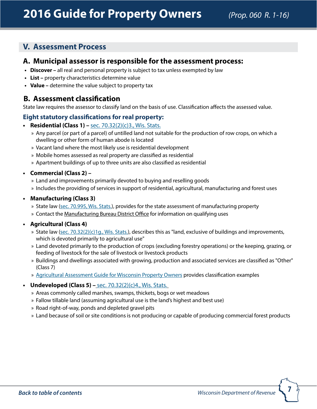## <span id="page-6-0"></span>**V. Assessment Process**

#### **A. Municipal assessor is responsible for the assessment process:**

- **• Discover** all real and personal property is subject to tax unless exempted by law
- **• List –** property characteristics determine value
- **• Value –** determine the value subject to property tax

## **B. Assessment classification**

State law requires the assessor to classify land on the basis of use. Classification affects the assessed value.

#### **Eight statutory classifications for real property:**

- **• Residential (Class 1)** [sec. 70.32\(2\)\(c\)3., Wis. Stats.](http://docs.legis.wisconsin.gov/statutes/statutes/70/32/2/c/3)
	- » Any parcel (or part of a parcel) of untilled land not suitable for the production of row crops, on which a dwelling or other form of human abode is located
	- » Vacant land where the most likely use is residential development
	- » Mobile homes assessed as real property are classified as residential
	- » Apartment buildings of up to three units are also classified as residential

#### **• Commercial (Class 2) –**

- » Land and improvements primarily devoted to buying and reselling goods
- » Includes the providing of services in support of residential, agricultural, manufacturing and forest uses

#### **• Manufacturing (Class 3)**

- » State law ([sec. 70.995, Wis. Stats.\)](http://docs.legis.wisconsin.gov/statutes/statutes/70/995), provides for the state assessment of manufacturing property
- » Contact the Manufacturing Bureau District Office for information on qualifying uses

#### **• Agricultural (Class 4)**

- » State law ([sec. 70.32\(2\)\(c\)1g., Wis. Stats.\)](http://docs.legis.wisconsin.gov/statutes/statutes/70/32/2/c/1g), describes this as "land, exclusive of buildings and improvements, which is devoted primarily to agricultural use"
- » Land devoted primarily to the production of crops (excluding forestry operations) or the keeping, grazing, or feeding of livestock for the sale of livestock or livestock products
- » Buildings and dwellings associated with growing, production and associated services are classified as "Other" (Class 7)
- » [Agricultural Assessment Guide for Wisconsin Property Owners](http://www.revenue.wi.gov/html/govpub.html) provides classification examples

#### **• Undeveloped (Class 5) –** [sec. 70.32\(2\)\(c\)4., Wis. Stats.](http://docs.legis.wisconsin.gov/statutes/statutes/70/32/2/c/4)

- » Areas commonly called marshes, swamps, thickets, bogs or wet meadows
- » Fallow tillable land (assuming agricultural use is the land's highest and best use)
- » Road right-of-way, ponds and depleted gravel pits
- » Land because of soil or site conditions is not producing or capable of producing commercial forest products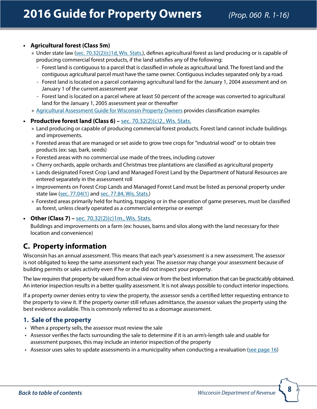#### <span id="page-7-0"></span>**• Agricultural forest (Class 5m)**

- » Under state law ([sec. 70.32\(2\)\(c\)1d, Wis. Stats.](http://docs.legis.wisconsin.gov/statutes/statutes/70/32/2/c/1d)), defines agricultural forest as land producing or is capable of producing commercial forest products, if the land satisfies any of the following:
	- Forest land is contiguous to a parcel that is classified in whole as agricultural land. The forest land and the contiguous agricultural parcel must have the same owner. Contiguous includes separated only by a road.
	- Forest land is located on a parcel containing agricultural land for the January 1, 2004 assessment and on January 1 of the current assessment year
	- Forest land is located on a parcel where at least 50 percent of the acreage was converted to agricultural land for the January 1, 2005 assessment year or thereafter
- » [Agricultural Assessment Guide for Wisconsin Property Owners](http://www.revenue.wi.gov/html/govpub.html) provides classification examples
- **• Productive forest land (Class 6)** [sec. 70.32\(2\)\(c\)2., Wis. Stats.](http://docs.legis.wisconsin.gov/statutes/statutes/70/32/2/c/2)
	- » Land producing or capable of producing commercial forest products. Forest land cannot include buildings and improvements.
	- » Forested areas that are managed or set aside to grow tree crops for "industrial wood" or to obtain tree products (ex: sap, bark, seeds)
	- » Forested areas with no commercial use made of the trees, including cutover
	- » Cherry orchards, apple orchards and Christmas tree plantations are classified as agricultural property
	- » Lands designated Forest Crop Land and Managed Forest Land by the Department of Natural Resources are entered separately in the assessment roll
	- » Improvements on Forest Crop Lands and Managed Forest Land must be listed as personal property under state law [\(sec. 77.04\(1\)](http://docs.legis.wisconsin.gov/statutes/statutes/77/I/04/1) and [sec. 77.84, Wis. Stats.\)](http://docs.legis.wisconsin.gov/statutes/statutes/77/VI/84)
	- » Forested areas primarily held for hunting, trapping or in the operation of game preserves, must be classified as forest, unless clearly operated as a commercial enterprise or exempt
- **• Other (Class 7)** [sec. 70.32\(2\)\(c\)1m., Wis. Stats.](http://docs.legis.wisconsin.gov/statutes/statutes/70/32/2/c/1m)

Buildings and improvements on a farm (ex: houses, barns and silos along with the land necessary for their location and convenience)

## **C. Property information**

Wisconsin has an annual assessment. This means that each year's assessment is a new assessment. The assessor is not obligated to keep the same assessment each year. The assessor may change your assessment because of building permits or sales activity even if he or she did not inspect your property.

The law requires that property be valued from actual view or from the best information that can be practicably obtained. An interior inspection results in a better quality assessment. It is not always possible to conduct interior inspections.

If a property owner denies entry to view the property, the assessor sends a certified letter requesting entrance to the property to view it. If the property owner still refuses admittance, the assessor values the property using the best evidence available. This is commonly referred to as a doomage assessment.

#### **1. Sale of the property**

- When a property sells, the assessor must review the sale
- Assessor verifies the facts surrounding the sale to determine if it is an arm's-length sale and usable for assessment purposes, this may include an interior inspection of the property
- Assessor uses sales to update assessments in a municipality when conducting a revaluation [\(see page 16\)](#page-15-0)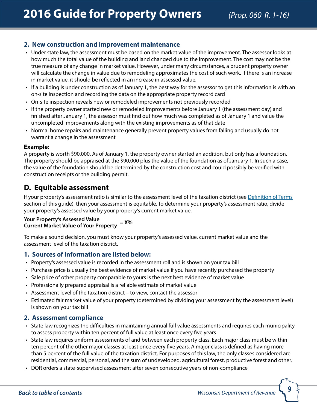#### <span id="page-8-0"></span>**2. New construction and improvement maintenance**

- Under state law, the assessment must be based on the market value of the improvement. The assessor looks at how much the total value of the building and land changed due to the improvement. The cost may not be the true measure of any change in market value. However, under many circumstances, a prudent property owner will calculate the change in value due to remodeling approximates the cost of such work. If there is an increase in market value, it should be reflected in an increase in assessed value.
- If a building is under construction as of January 1, the best way for the assessor to get this information is with an on-site inspection and recording the data on the appropriate property record card
- On-site inspection reveals new or remodeled improvements not previously recorded
- If the property owner started new or remodeled improvements before January 1 (the assessment day) and finished after January 1, the assessor must find out how much was completed as of January 1 and value the uncompleted improvements along with the existing improvements as of that date
- Normal home repairs and maintenance generally prevent property values from falling and usually do not warrant a change in the assessment

#### **Example:**

A property is worth \$90,000. As of January 1, the property owner started an addition, but only has a foundation. The property should be appraised at the \$90,000 plus the value of the foundation as of January 1. In such a case, the value of the foundation should be determined by the construction cost and could possibly be verified with construction receipts or the building permit.

## **D. Equitable assessment**

If your property's assessment ratio is similar to the assessment level of the taxation district (see [Definition of Terms](#page-26-0) section of this guide), then your assessment is equitable. To determine your property's assessment ratio, divide your property's assessed value by your property's current market value.

#### **Your Property's Assessed Value = X% Current Market Value of Your Property**

To make a sound decision, you must know your property's assessed value, current market value and the assessment level of the taxation district.

#### **1. Sources of information are listed below:**

- Property's assessed value is recorded in the assessment roll and is shown on your tax bill
- Purchase price is usually the best evidence of market value if you have recently purchased the property
- Sale price of other property comparable to yours is the next best evidence of market value
- Professionally prepared appraisal is a reliable estimate of market value
- Assessment level of the taxation district to view, contact the assessor
- Estimated fair market value of your property (determined by dividing your assessment by the assessment level) is shown on your tax bill

#### **2. Assessment compliance**

- State law recognizes the difficulties in maintaining annual full value assessments and requires each municipality to assess property within ten percent of full value at least once every five years
- State law requires uniform assessments of and between each property class. Each major class must be within ten percent of the other major classes at least once every five years. A major class is defined as having more than 5 percent of the full value of the taxation district. For purposes of this law, the only classes considered are residential, commercial, personal, and the sum of undeveloped, agricultural forest, productive forest and other.
- DOR orders a state-supervised assessment after seven consecutive years of non-compliance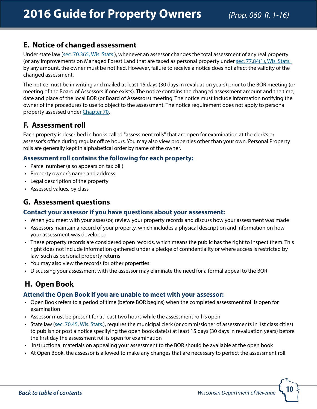## <span id="page-9-0"></span>**E. Notice of changed assessment**

Under state law ([sec. 70.365, Wis. Stats.\)](http://docs.legis.wisconsin.gov/statutes/statutes/70/365), whenever an assessor changes the total assessment of any real property (or any improvements on Managed Forest Land that are taxed as personal property under sec. 77.84(1), Wis. Stats. by any amount, the owner must be notified. However, failure to receive a notice does not affect the validity of the changed assessment.

The notice must be in writing and mailed at least 15 days (30 days in revaluation years) prior to the BOR meeting (or meeting of the Board of Assessors if one exists). The notice contains the changed assessment amount and the time, date and place of the local BOR (or Board of Assessors) meeting. The notice must include information notifying the owner of the procedures to use to object to the assessment. The notice requirement does not apply to personal property assessed under [Chapter 70](http://docs.legis.wisconsin.gov/statutes/statutes/70/_4).

## **F. Assessment roll**

Each property is described in books called "assessment rolls" that are open for examination at the clerk's or assessor's office during regular office hours. You may also view properties other than your own. Personal Property rolls are generally kept in alphabetical order by name of the owner.

#### **Assessment roll contains the following for each property:**

- Parcel number (also appears on tax bill)
- Property owner's name and address
- Legal description of the property
- Assessed values, by class

### **G. Assessment questions**

#### **Contact your assessor if you have questions about your assessment:**

- When you meet with your assessor, review your property records and discuss how your assessment was made
- Assessors maintain a record of your property, which includes a physical description and information on how your assessment was developed
- These property records are considered open records, which means the public has the right to inspect them. This right does not include information gathered under a pledge of confidentiality or where access is restricted by law, such as personal property returns
- You may also view the records for other properties
- Discussing your assessment with the assessor may eliminate the need for a formal appeal to the BOR

## **H. Open Book**

#### **Attend the Open Book if you are unable to meet with your assessor:**

- Open Book refers to a period of time (before BOR begins) when the completed assessment roll is open for examination
- Assessor must be present for at least two hours while the assessment roll is open
- State law [\(sec. 70.45, Wis. Stats.](http://docs.legis.wisconsin.gov/statutes/statutes/70/45)), requires the municipal clerk (or commissioner of assessments in 1st class cities) to publish or post a notice specifying the open book date(s) at least 15 days (30 days in revaluation years) before the first day the assessment roll is open for examination
- Instructional materials on appealing your assessment to the BOR should be available at the open book
- At Open Book, the assessor is allowed to make any changes that are necessary to perfect the assessment roll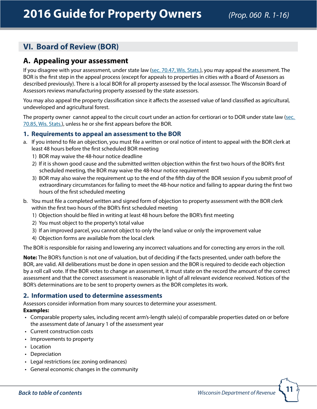## <span id="page-10-0"></span>**VI. Board of Review (BOR)**

#### **A. Appealing your assessment**

If you disagree with your assessment, under state law [\(sec. 70.47, Wis. Stats.](http://docs.legis.wisconsin.gov/statutes/statutes/70/47)), you may appeal the assessment. The BOR is the first step in the appeal process (except for appeals to properties in cities with a Board of Assessors as described previously). There is a local BOR for all property assessed by the local assessor. The Wisconsin Board of Assessors reviews manufacturing property assessed by the state assessors.

You may also appeal the property classification since it affects the assessed value of land classified as agricultural, undeveloped and agricultural forest.

The property owner cannot appeal to the circuit court under an action for certiorari or to DOR under state law [\(sec.](http://docs.legis.wisconsin.gov/statutes/statutes/70/85)  [70.85, Wis. Stats.](http://docs.legis.wisconsin.gov/statutes/statutes/70/85)), unless he or she first appears before the BOR.

#### **1. Requirements to appeal an assessment to the BOR**

- a. If you intend to file an objection, you must file a written or oral notice of intent to appeal with the BOR clerk at least 48 hours before the first scheduled BOR meeting
	- 1) BOR may waive the 48-hour notice deadline
	- 2) If it is shown good cause and the submitted written objection within the first two hours of the BOR's first scheduled meeting, the BOR may waive the 48-hour notice requirement
	- 3) BOR may also waive the requirement up to the end of the fifth day of the BOR session if you submit proof of extraordinary circumstances for failing to meet the 48-hour notice and failing to appear during the first two hours of the first scheduled meeting
- b. You must file a completed written and signed form of objection to property assessment with the BOR clerk within the first two hours of the BOR's first scheduled meeting
	- 1) Objection should be filed in writing at least 48 hours before the BOR's first meeting
	- 2) You must object to the property's total value
	- 3) If an improved parcel, you cannot object to only the land value or only the improvement value
	- 4) Objection forms are available from the local clerk

The BOR is responsible for raising and lowering any incorrect valuations and for correcting any errors in the roll.

**Note:** The BOR's function is not one of valuation, but of deciding if the facts presented, under oath before the BOR, are valid. All deliberations must be done in open session and the BOR is required to decide each objection by a roll call vote. If the BOR votes to change an assessment, it must state on the record the amount of the correct assessment and that the correct assessment is reasonable in light of all relevant evidence received. Notices of the BOR's determinations are to be sent to property owners as the BOR completes its work.

#### **2. Information used to determine assessments**

Assessors consider information from many sources to determine your assessment.

#### **Examples:**

- Comparable property sales, including recent arm's-length sale(s) of comparable properties dated on or before the assessment date of January 1 of the assessment year
- Current construction costs
- Improvements to property
- Location
- Depreciation
- Legal restrictions (ex: zoning ordinances)
- General economic changes in the community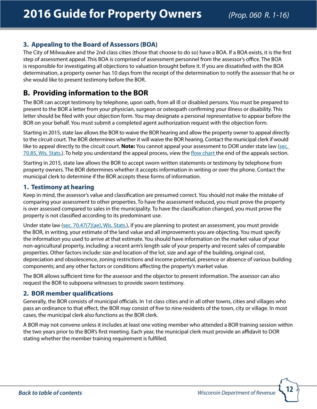#### <span id="page-11-0"></span>**3. Appealing to the Board of Assessors (BOA)**

The City of Milwaukee and the 2nd class cities (those that choose to do so) have a BOA. If a BOA exists, it is the first step of assessment appeal. This BOA is comprised of assessment personnel from the assessor's office. The BOA is responsible for investigating all objections to valuation brought before it. If you are dissatisfied with the BOA determination, a property owner has 10 days from the receipt of the determination to notify the assessor that he or she would like to present testimony before the BOR.

## **B. Providing information to the BOR**

The BOR can accept testimony by telephone, upon oath, from all ill or disabled persons. You must be prepared to present to the BOR a letter from your physician, surgeon or osteopath confirming your illness or disability. This letter should be filed with your objection form. You may designate a personal representative to appear before the BOR on your behalf. You must submit a completed agent authorization request with the objection form.

Starting in 2015, state law allows the BOR to waive the BOR hearing and allow the property owner to appeal directly to the circuit court. The BOR determines whether it will waive the BOR hearing. Contact the municipal clerk if would like to appeal directly to the circuit court. **Note:** You cannot appeal your assessment to DOR under state law ([sec.](http://docs.legis.wisconsin.gov/statutes/statutes/70/85)  [70.85, Wis. Stats.](http://docs.legis.wisconsin.gov/statutes/statutes/70/85)). To help you understand the appeal process, view the [flow chart](#page-14-0) the end of the appeals section.

Starting in 2015, state law allows the BOR to accept sworn written statements or testimony by telephone from property owners. The BOR determines whether it accepts information in writing or over the phone. Contact the municipal clerk to determine if the BOR accepts these forms of information.

#### **1. Testimony at hearing**

Keep in mind, the assessor's value and classification are presumed correct. You should not make the mistake of comparing your assessment to other properties. To have the assessment reduced, you must prove the property is over assessed compared to sales in the municipality. To have the classification changed, you must prove the property is not classified according to its predominant use.

Under state law ([sec. 70.47\(7\)\(ae\), Wis. Stats.](http://docs.legis.wisconsin.gov/statutes/statutes/70/47/7/ae)), if you are planning to protest an assessment, you must provide the BOR, in writing, your estimate of the land value and all improvements you are objecting. You must specify the information you used to arrive at that estimate. You should have information on the market value of your non-agricultural property, including: a recent arm's length sale of your property and recent sales of comparable properties. Other factors include: size and location of the lot, size and age of the building, original cost, depreciation and obsolescence, zoning restrictions and income potential, presence or absence of various building components; and any other factors or conditions affecting the property's market value.

The BOR allows sufficient time for the assessor and the objector to present information. The assessor can also request the BOR to subpoena witnesses to provide sworn testimony.

#### **2. BOR member qualifications**

Generally, the BOR consists of municipal officials. In 1st class cities and in all other towns, cities and villages who pass an ordinance to that effect, the BOR may consist of five to nine residents of the town, city or village. In most cases, the municipal clerk also functions as the BOR clerk.

A BOR may not convene unless it includes at least one voting member who attended a BOR training session within the two years prior to the BOR's first meeting. Each year, the municipal clerk must provide an affidavit to DOR stating whether the member training requirement is fulfilled.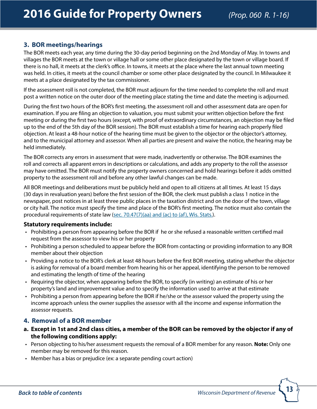#### **3. BOR meetings/hearings**

The BOR meets each year, any time during the 30-day period beginning on the 2nd Monday of May. In towns and villages the BOR meets at the town or village hall or some other place designated by the town or village board. If there is no hall, it meets at the clerk's office. In towns, it meets at the place where the last annual town meeting was held. In cities, it meets at the council chamber or some other place designated by the council. In Milwaukee it meets at a place designated by the tax commissioner.

If the assessment roll is not completed, the BOR must adjourn for the time needed to complete the roll and must post a written notice on the outer door of the meeting place stating the time and date the meeting is adjourned.

During the first two hours of the BOR's first meeting, the assessment roll and other assessment data are open for examination. If you are filing an objection to valuation, you must submit your written objection before the first meeting or during the first two hours (except, with proof of extraordinary circumstances, an objection may be filed up to the end of the 5th day of the BOR session). The BOR must establish a time for hearing each properly filed objection. At least a 48-hour notice of the hearing time must be given to the objector or the objector's attorney, and to the municipal attorney and assessor. When all parties are present and waive the notice, the hearing may be held immediately.

The BOR corrects any errors in assessment that were made, inadvertently or otherwise. The BOR examines the roll and corrects all apparent errors in descriptions or calculations, and adds any property to the roll the assessor may have omitted. The BOR must notify the property owners concerned and hold hearings before it adds omitted property to the assessment roll and before any other lawful changes can be made.

All BOR meetings and deliberations must be publicly held and open to all citizens at all times. At least 15 days (30 days in revaluation years) before the first session of the BOR, the clerk must publish a class 1 notice in the newspaper, post notices in at least three public places in the taxation district and on the door of the town, village or city hall. The notice must specify the time and place of the BOR's first meeting. The notice must also contain the procedural requirements of state law [\(sec. 70.47\(7\)\(aa\) and \(ac\) to \(af\), Wis. Stats](http://docs.legis.wisconsin.gov/statutes/statutes/70/47/7/aa).).

#### **Statutory requirements include:**

- Prohibiting a person from appearing before the BOR if he or she refused a reasonable written certified mail request from the assessor to view his or her property
- Prohibiting a person scheduled to appear before the BOR from contacting or providing information to any BOR member about their objection
- Providing a notice to the BOR's clerk at least 48 hours before the first BOR meeting, stating whether the objector is asking for removal of a board member from hearing his or her appeal, identifying the person to be removed and estimating the length of time of the hearing
- Requiring the objector, when appearing before the BOR, to specify (in writing) an estimate of his or her property's land and improvement value and to specify the information used to arrive at that estimate
- Prohibiting a person from appearing before the BOR if he/she or the assessor valued the property using the income approach unless the owner supplies the assessor with all the income and expense information the assessor requests.

#### **4. Removal of a BOR member**

- **a. Except in 1st and 2nd class cities, a member of the BOR can be removed by the objector if any of the following conditions apply:**
- Person objecting to his/her assessment requests the removal of a BOR member for any reason. **Note:** Only one member may be removed for this reason.
- Member has a bias or prejudice (ex: a separate pending court action)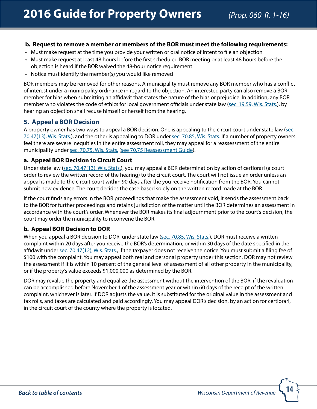#### **b. Request to remove a member or members of the BOR must meet the following requirements:**

- Must make request at the time you provide your written or oral notice of intent to file an objection
- Must make request at least 48 hours before the first scheduled BOR meeting or at least 48 hours before the objection is heard if the BOR waived the 48-hour notice requirement
- Notice must identify the member(s) you would like removed

BOR members may be removed for other reasons. A municipality must remove any BOR member who has a conflict of interest under a municipality ordinance in regard to the objection. An interested party can also remove a BOR member for bias when submitting an affidavit that states the nature of the bias or prejudice. In addition, any BOR member who violates the code of ethics for local government officials under state law ([sec. 19.59, Wis. Stats.](http://docs.legis.wisconsin.gov/statutes/statutes/19/III/59)), by hearing an objection shall recuse himself or herself from the hearing.

#### **5. Appeal a BOR Decision**

A property owner has two ways to appeal a BOR decision. One is appealing to the circuit court under state law (sec. [70.47\(13\), Wis. Stats.](http://docs.legis.wisconsin.gov/statutes/statutes/70/47/13)), and the other is appealing to DOR under [sec. 70.85, Wis. Stats.](http://docs.legis.wisconsin.gov/statutes/statutes/70/85) If a number of property owners feel there are severe inequities in the entire assessment roll, they may appeal for a reassessment of the entire municipality under [sec. 70.75, Wis. Stats.](http://docs.legis.wisconsin.gov/statutes/statutes/70/75) ([see 70.75 Reassessment Guide\)](http://www.revenue.wi.gov/html/govpub.html).

#### **a. Appeal BOR Decision to Circuit Court**

Under state law ([sec. 70.47\(13\), Wis. Stats.](http://docs.legis.wisconsin.gov/statutes/statutes/70/47/13)), you may appeal a BOR determination by action of certiorari (a court order to review the written record of the hearing) to the circuit court. The court will not issue an order unless an appeal is made to the circuit court within 90 days after the you receive notification from the BOR. You cannot submit new evidence. The court decides the case based solely on the written record made at the BOR.

If the court finds any errors in the BOR proceedings that make the assessment void, it sends the assessment back to the BOR for further proceedings and retains jurisdiction of the matter until the BOR determines an assessment in accordance with the court's order. Whenever the BOR makes its final adjournment prior to the court's decision, the court may order the municipality to reconvene the BOR.

#### **b. Appeal BOR Decision to DOR**

When you appeal a BOR decision to DOR, under state law [\(sec. 70.85, Wis. Stats.\)](http://docs.legis.wisconsin.gov/statutes/statutes/70/85), DOR must receive a written complaint within 20 days after you receive the BOR's determination, or within 30 days of the date specified in the affidavit under [sec. 70.47\(12\), Wis. Stats.,](http://docs.legis.wisconsin.gov/statutes/statutes/70/47/12) if the taxpayer does not receive the notice. You must submit a filing fee of \$100 with the complaint. You may appeal both real and personal property under this section. DOR may not review the assessment if it is within 10 percent of the general level of assessment of all other property in the municipality, or if the property's value exceeds \$1,000,000 as determined by the BOR.

DOR may revalue the property and equalize the assessment without the intervention of the BOR, if the revaluation can be accomplished before November 1 of the assessment year or within 60 days of the receipt of the written complaint, whichever is later. If DOR adjusts the value, it is substituted for the original value in the assessment and tax rolls, and taxes are calculated and paid accordingly. You may appeal DOR's decision, by an action for certiorari, in the circuit court of the county where the property is located.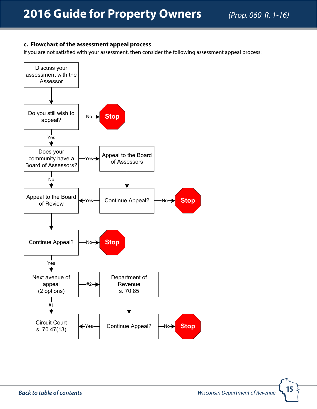#### <span id="page-14-0"></span>**c. Flowchart of the assessment appeal process**

If you are not satisfied with your assessment, then consider the following assessment appeal process:



à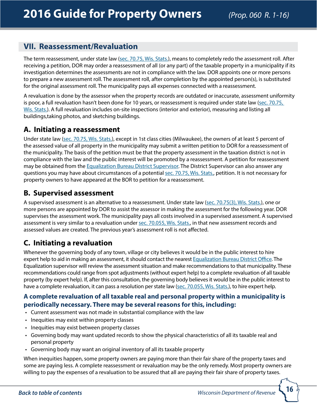## <span id="page-15-0"></span>**VII. Reassessment/Revaluation**

The term reassessment, under state law [\(sec. 70.75, Wis. Stats.\)](http://docs.legis.wisconsin.gov/statutes/statutes/70/75), means to completely redo the assessment roll. After receiving a petition, DOR may order a reassessment of all (or any part) of the taxable property in a municipality if its investigation determines the assessments are not in compliance with the law. DOR appoints one or more persons to prepare a new assessment roll. The assessment roll, after completion by the appointed person(s), is substituted for the original assessment roll. The municipality pays all expenses connected with a reassessment.

A revaluation is done by the assessor when the property records are outdated or inaccurate, assessment uniformity is poor, a full revaluation hasn't been done for 10 years, or reassessment is required under state law [\(sec. 70.75,](http://docs.legis.wisconsin.gov/statutes/statutes/70/75)  [Wis. Stats.\)](http://docs.legis.wisconsin.gov/statutes/statutes/70/75). A full revaluation includes on-site inspections (interior and exterior), measuring and listing all buildings,taking photos, and sketching buildings.

## **A. Initiating a reassessment**

Under state law ([sec. 70.75, Wis. Stats.\)](http://docs.legis.wisconsin.gov/statutes/statutes/70/75), except in 1st class cities (Milwaukee), the owners of at least 5 percent of the assessed value of all property in the municipality may submit a written petition to DOR for a reassessment of the municipality. The basis of the petition must be that the property assessment in the taxation district is not in compliance with the law and the public interest will be promoted by a reassessment. A petition for reassessment may be obtained from the [Equalization Bureau District Supervisor.](http://www.revenue.wi.gov/contact/slfboe.html) The District Supervisor can also answer any questions you may have about circumstances of a potential [sec. 70.75, Wis. Stats.](http://docs.legis.wisconsin.gov/statutes/statutes/70/75), petition. It is not necessary for property owners to have appeared at the BOR to petition for a reassessment.

## **B. Supervised assessment**

A supervised assessment is an alternative to a reassessment. Under state law ([sec. 70.75\(3\), Wis. Stats.](http://docs.legis.wisconsin.gov/statutes/statutes/70/75/3)), one or more persons are appointed by DOR to assist the assessor in making the assessment for the following year. DOR supervises the assessment work. The municipality pays all costs involved in a supervised assessment. A supervised assessment is very similar to a revaluation under [sec. 70.055, Wis. Stats.](http://docs.legis.wisconsin.gov/statutes/statutes/70/055), in that new assessment records and assessed values are created. The previous year's assessment roll is not affected.

## **C. Initiating a revaluation**

Whenever the governing body of any town, village or city believes it would be in the public interest to hire expert help to aid in making an assessment, it should contact the nearest [Equalization Bureau District Office.](http://www.revenue.wi.gov/contact/slfboe.html) The Equalization supervisor will review the assessment situation and make recommendations to that municipality. These recommendations could range from spot adjustments (without expert help) to a complete revaluation of all taxable property (by expert help). If, after this consultation, the governing body believes it would be in the public interest to have a complete revaluation, it can pass a resolution per state law [\(sec. 70.055, Wis. Stats.](http://docs.legis.wisconsin.gov/statutes/statutes/70/055)), to hire expert help.

#### **A complete revaluation of all taxable real and personal property within a municipality is periodically necessary. There may be several reasons for this, including:**

- Current assessment was not made in substantial compliance with the law
- Inequities may exist within property classes
- Inequities may exist between property classes
- Governing body may want updated records to show the physical characteristics of all its taxable real and personal property
- Governing body may want an original inventory of all its taxable property

When inequities happen, some property owners are paying more than their fair share of the property taxes and some are paying less. A complete reassessment or revaluation may be the only remedy. Most property owners are willing to pay the expenses of a revaluation to be assured that all are paying their fair share of property taxes.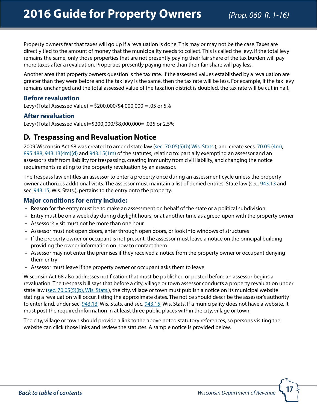<span id="page-16-0"></span>Property owners fear that taxes will go up if a revaluation is done. This may or may not be the case. Taxes are directly tied to the amount of money that the municipality needs to collect. This is called the levy. If the total levy remains the same, only those properties that are not presently paying their fair share of the tax burden will pay more taxes after a revaluation. Properties presently paying more than their fair share will pay less.

Another area that property owners question is the tax rate. If the assessed values established by a revaluation are greater than they were before and the tax levy is the same, then the tax rate will be less. For example, if the tax levy remains unchanged and the total assessed value of the taxation district is doubled, the tax rate will be cut in half.

#### **Before revaluation**

Levy/(Total Assessed Value) =  $$200,000$ /\$4,000,000 = .05 or 5%

#### **After revaluation**

Levy/(Total Assessed Value)=\$200,000/\$8,000,000= .025 or 2.5%

### **D. Trespassing and Revaluation Notice**

2009 Wisconsin Act 68 was created to amend state law [\(sec. 70.05\(5\)\(b\) Wis. Stats.\)](http://docs.legis.wisconsin.gov/statutes/statutes/70/05/5/b), and create secs. [70.05 \(4m\),](http://docs.legis.wisconsin.gov/statutes/statutes/70/05/4m) [895.488,](http://docs.legis.wisconsin.gov/statutes/statutes/895/II/488) [943.13\(4m\)\(d\)](http://docs.legis.wisconsin.gov/statutes/statutes/943/II/13/4m) and [943.15\(1m\)](http://docs.legis.wisconsin.gov/statutes/statutes/943/II/15/1m) of the statutes; relating to: partially exempting an assessor and an assessor's staff from liability for trespassing, creating immunity from civil liability, and changing the notice requirements relating to the property revaluation by an assessor.

The trespass law entitles an assessor to enter a property once during an assessment cycle unless the property owner authorizes additional visits. The assessor must maintain a list of denied entries. State law (sec. [943.13](http://docs.legis.wisconsin.gov/statutes/statutes/943/II/13) and sec. [943.15,](http://docs.legis.wisconsin.gov/statutes/statutes/943/II/15) Wis. Stats.), pertains to the entry onto the property.

#### **Major conditions for entry include:**

- Reason for the entry must be to make an assessment on behalf of the state or a political subdivision
- Entry must be on a week day during daylight hours, or at another time as agreed upon with the property owner
- Assessor's visit must not be more than one hour
- Assessor must not open doors, enter through open doors, or look into windows of structures
- If the property owner or occupant is not present, the assessor must leave a notice on the principal building providing the owner information on how to contact them
- Assessor may not enter the premises if they received a notice from the property owner or occupant denying them entry
- Assessor must leave if the property owner or occupant asks them to leave

Wisconsin Act 68 also addresses notification that must be published or posted before an assessor begins a revaluation. The trespass bill says that before a city, village or town assessor conducts a property revaluation under state law ([sec. 70.05\(5\)\(b\), Wis. Stats.](http://docs.legis.wisconsin.gov/statutes/statutes/70/05/5/b)), the city, village or town must publish a notice on its municipal website stating a revaluation will occur, listing the approximate dates. The notice should describe the assessor's authority to enter land, under sec. [943.13,](http://docs.legis.wisconsin.gov/statutes/statutes/943/II/13) Wis. Stats. and sec. [943.15,](http://docs.legis.wisconsin.gov/statutes/statutes/943/II/15) Wis. Stats. If a municipality does not have a website, it must post the required information in at least three public places within the city, village or town.

The city, village or town should provide a link to the above noted statutory references, so persons visiting the website can click those links and review the statutes. A sample notice is provided below.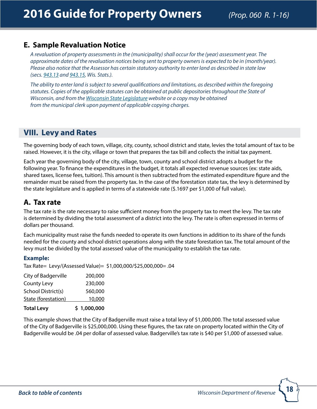## <span id="page-17-0"></span>**E. Sample Revaluation Notice**

*A revaluation of property assessments in the (municipality) shall occur for the (year) assessment year. The approximate dates of the revaluation notices being sent to property owners is expected to be in (month/year). Please also notice that the Assessor has certain statutory authority to enter land as described in state law (secs. [943.13](https://docs.legis.wisconsin.gov/statutes/statutes/943/II/13) and [943.15](https://docs.legis.wisconsin.gov/statutes/statutes/943/II/15), Wis. Stats.).*

*The ability to enter land is subject to several qualifications and limitations, as described within the foregoing statutes. Copies of the applicable statutes can be obtained at public depositories throughout the State of Wisconsin, and from the [Wisconsin State Legislature](http://docs.legis.wisconsin.gov/statutes/statutes/) website or a copy may be obtained from the municipal clerk upon payment of applicable copying charges.*

## **VIII. Levy and Rates**

The governing body of each town, village, city, county, school district and state, levies the total amount of tax to be raised. However, it is the city, village or town that prepares the tax bill and collects the initial tax payment.

Each year the governing body of the city, village, town, county and school district adopts a budget for the following year. To finance the expenditures in the budget, it totals all expected revenue sources (ex: state aids, shared taxes, license fees, tuition). This amount is then subtracted from the estimated expenditure figure and the remainder must be raised from the property tax. In the case of the forestation state tax, the levy is determined by the state legislature and is applied in terms of a statewide rate (\$.1697 per \$1,000 of full value).

## **A. Tax rate**

The tax rate is the rate necessary to raise sufficient money from the property tax to meet the levy. The tax rate is determined by dividing the total assessment of a district into the levy. The rate is often expressed in terms of dollars per thousand.

Each municipality must raise the funds needed to operate its own functions in addition to its share of the funds needed for the county and school district operations along with the state forestation tax. The total amount of the levy must be divided by the total assessed value of the municipality to establish the tax rate.

#### **Example:**

Tax Rate= Levy/(Assessed Value)= \$1,000,000/\$25,000,000= .04

| <b>Total Levy</b>   | \$1,000,000 |
|---------------------|-------------|
| State (forestation) | 10,000      |
| School District(s)  | 560,000     |
| County Levy         | 230,000     |
| City of Badgerville | 200,000     |

This example shows that the City of Badgerville must raise a total levy of \$1,000,000. The total assessed value of the City of Badgerville is \$25,000,000. Using these figures, the tax rate on property located within the City of Badgerville would be .04 per dollar of assessed value. Badgerville's tax rate is \$40 per \$1,000 of assessed value.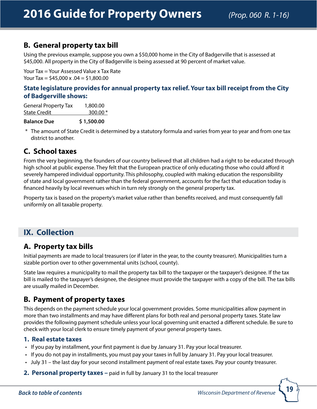## <span id="page-18-0"></span>**B. General property tax bill**

Using the previous example, suppose you own a \$50,000 home in the City of Badgerville that is assessed at \$45,000. All property in the City of Badgerville is being assessed at 90 percent of market value.

Your Tax = Your Assessed Value x Tax Rate Your Tax =  $$45,000 \times 04 = $1,800,00$ 

#### **State legislature provides for annual property tax relief. Your tax bill receipt from the City of Badgerville shows:**

| <b>General Property Tax</b> | 1,800.00   |
|-----------------------------|------------|
| <b>State Credit</b>         | 300.00 $*$ |
|                             |            |

**Balance Due \$ 1,500.00**

\* The amount of State Credit is determined by a statutory formula and varies from year to year and from one tax district to another.

## **C. School taxes**

From the very beginning, the founders of our country believed that all children had a right to be educated through high school at public expense. They felt that the European practice of only educating those who could afford it severely hampered individual opportunity. This philosophy, coupled with making education the responsibility of state and local government rather than the federal government, accounts for the fact that education today is financed heavily by local revenues which in turn rely strongly on the general property tax.

Property tax is based on the property's market value rather than benefits received, and must consequently fall uniformly on all taxable property.

## **IX. Collection**

## **A. Property tax bills**

Initial payments are made to local treasurers (or if later in the year, to the county treasurer). Municipalities turn a sizable portion over to other governmental units (school, county).

State law requires a municipality to mail the property tax bill to the taxpayer or the taxpayer's designee. If the tax bill is mailed to the taxpayer's designee, the designee must provide the taxpayer with a copy of the bill. The tax bills are usually mailed in December.

## **B. Payment of property taxes**

This depends on the payment schedule your local government provides. Some municipalities allow payment in more than two installments and may have different plans for both real and personal property taxes. State law provides the following payment schedule unless your local governing unit enacted a different schedule. Be sure to check with your local clerk to ensure timely payment of your general property taxes.

#### **1. Real estate taxes**

- If you pay by installment, your first payment is due by January 31. Pay your local treasurer.
- If you do not pay in installments, you must pay your taxes in full by January 31. Pay your local treasurer.
- July 31 the last day for your second installment payment of real estate taxes. Pay your county treasurer.
- **2. Personal property taxes –** paid in full by January 31 to the local treasurer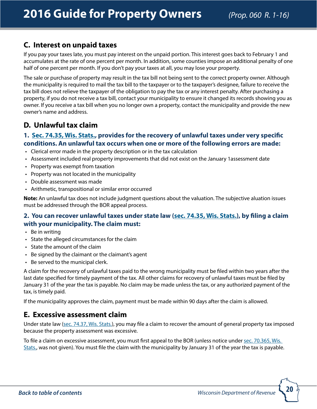## <span id="page-19-0"></span>**C. Interest on unpaid taxes**

If you pay your taxes late, you must pay interest on the unpaid portion. This interest goes back to February 1 and accumulates at the rate of one percent per month. In addition, some counties impose an additional penalty of one half of one percent per month. If you don't pay your taxes at all, you may lose your property.

The sale or purchase of property may result in the tax bill not being sent to the correct property owner. Although the municipality is required to mail the tax bill to the taxpayer or to the taxpayer's designee, failure to receive the tax bill does not relieve the taxpayer of the obligation to pay the tax or any interest penalty. After purchasing a property, if you do not receive a tax bill, contact your municipality to ensure it changed its records showing you as owner. If you receive a tax bill when you no longer own a property, contact the municipality and provide the new owner's name and address.

## **D. Unlawful tax claim**

#### **1. [Sec. 74.35, Wis. Stats.,](http://docs.legis.wisconsin.gov/statutes/statutes/74/V/35) provides for the recovery of unlawful taxes under very specific conditions. An unlawful tax occurs when one or more of the following errors are made:**

- Clerical error made in the property description or in the tax calculation
- Assessment included real property improvements that did not exist on the January 1assessment date
- Property was exempt from taxation
- Property was not located in the municipality
- Double assessment was made
- Arithmetic, transpositional or similar error occurred

**Note:** An unlawful tax does not include judgment questions about the valuation. The subjective aluation issues must be addressed through the BOR appeal process.

#### **2. You can recover unlawful taxes under state law ([sec. 74.35, Wis. Stats.\)](http://docs.legis.wisconsin.gov/statutes/statutes/74/V/35), by filing a claim with your municipality. The claim must:**

- Be in writing
- State the alleged circumstances for the claim
- State the amount of the claim
- Be signed by the claimant or the claimant's agent
- Be served to the municipal clerk.

A claim for the recovery of unlawful taxes paid to the wrong municipality must be filed within two years after the last date specified for timely payment of the tax. All other claims for recovery of unlawful taxes must be filed by January 31 of the year the tax is payable. No claim may be made unless the tax, or any authorized payment of the tax, is timely paid.

If the municipality approves the claim, payment must be made within 90 days after the claim is allowed.

#### **E. Excessive assessment claim**

Under state law ([sec. 74.37, Wis. Stats.\)](http://docs.legis.wisconsin.gov/statutes/statutes/74/V/37), you may file a claim to recover the amount of general property tax imposed because the property assessment was excessive.

To file a claim on excessive assessment, you must first appeal to the BOR (unless notice under [sec. 70.365, Wis.](http://docs.legis.wisconsin.gov/statutes/statutes/70/365)  [Stats.](http://docs.legis.wisconsin.gov/statutes/statutes/70/365), was not given). You must file the claim with the municipality by January 31 of the year the tax is payable.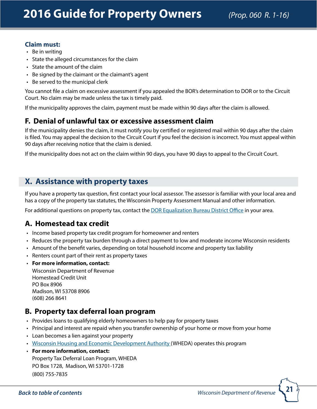## <span id="page-20-0"></span>**2016 Guide for Property Owners** *(Prop. 060 R. 1-16)*

#### **Claim must:**

- Be in writing
- State the alleged circumstances for the claim
- State the amount of the claim
- Be signed by the claimant or the claimant's agent
- Be served to the municipal clerk

You cannot file a claim on excessive assessment if you appealed the BOR's determination to DOR or to the Circuit Court. No claim may be made unless the tax is timely paid.

If the municipality approves the claim, payment must be made within 90 days after the claim is allowed.

#### **F. Denial of unlawful tax or excessive assessment claim**

If the municipality denies the claim, it must notify you by certified or registered mail within 90 days after the claim is filed. You may appeal the decision to the Circuit Court if you feel the decision is incorrect. You must appeal within 90 days after receiving notice that the claim is denied.

If the municipality does not act on the claim within 90 days, you have 90 days to appeal to the Circuit Court.

## **X. Assistance with property taxes**

If you have a property tax question, first contact your local assessor. The assessor is familiar with your local area and has a copy of the property tax statutes, the Wisconsin Property Assessment Manual and other information.

For additional questions on property tax, contact the [DOR Equalization Bureau District Office](http://www.revenue.wi.gov/contact/slfboe.html) in your area.

#### **A. Homestead tax credit**

- Income based property tax credit program for homeowner and renters
- Reduces the property tax burden through a direct payment to low and moderate income Wisconsin residents
- Amount of the benefit varies, depending on total household income and property tax liability
- Renters count part of their rent as property taxes
- **For more information, contact:** Wisconsin Department of Revenue Homestead Credit Unit PO Box 8906 Madison, WI 53708 8906 (608) 266 8641

## **B. Property tax deferral loan program**

- Provides loans to qualifying elderly homeowners to help pay for property taxes
- Principal and interest are repaid when you transfer ownership of your home or move from your home
- Loan becomes a lien against your property
- [Wisconsin Housing and Economic Development Authority \(](http://www.wheda.com/root/)WHEDA) operates this program
- **For more information, contact:** Property Tax Deferral Loan Program, WHEDA PO Box 1728, Madison, WI 53701-1728 (800) 755-7835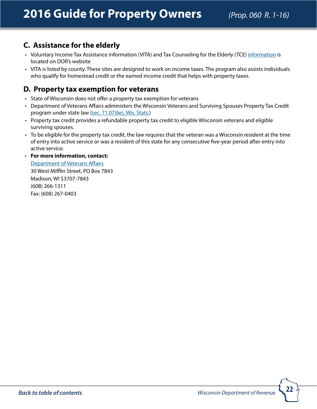## <span id="page-21-0"></span>**C. Assistance for the elderly**

- Voluntary Income Tax Assistance information (VITA) and Tax Counseling for the Elderly (TCE) [information](http://www.revenue.wi.gov/vita/) is located on DOR's website
- VITA is listed by county. These sites are designed to work on income taxes. The program also assists individuals who qualify for homestead credit or the earned income credit that helps with property taxes.

## **D. Property tax exemption for veterans**

- State of Wisconsin does not offer a property tax exemption for veterans
- Department of Veterans Affairs administers the Wisconsin Veterans and Surviving Spouses Property Tax Credit program under state law [\(sec. 71.07\(6e\), Wis. Stats.](http://docs.legis.wisconsin.gov/statutes/statutes/71/I/07/6e))
- Property tax credit provides a refundable property tax credit to eligible Wisconsin veterans and eligible surviving spouses.
- To be eligible for the property tax credit, the law requires that the veteran was a Wisconsin resident at the time of entry into active service or was a resident of this state for any consecutive five-year period after entry into active service.
- **For more information, contact:** [Department of Veterans Affairs](http://dva.state.wi.us/Pages/home.aspx) 30 West Mifflin Street, PO Box 7843 Madison, WI 53707-7843 (608) 266-1311 Fax: (608) 267-0403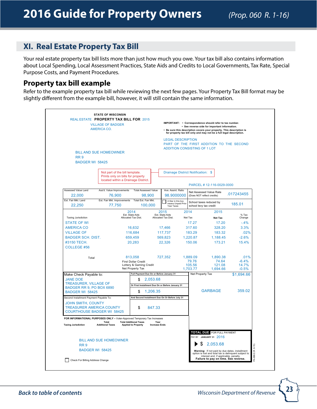## <span id="page-22-0"></span>**XI. Real Estate Property Tax Bill**

Your real estate property tax bill lists more than just how much you owe. Your tax bill also contains information about Local Spending, Local Assessment Practices, State Aids and Credits to Local Governments, Tax Rate, Special Purpose Costs, and Payment Procedures.

#### **Property tax bill example**

Refer to the example property tax bill while reviewing the next few pages. Your Property Tax Bill format may be **2015 Property Tax Bill** slightly different from the example bill, however, it will still contain the same information.

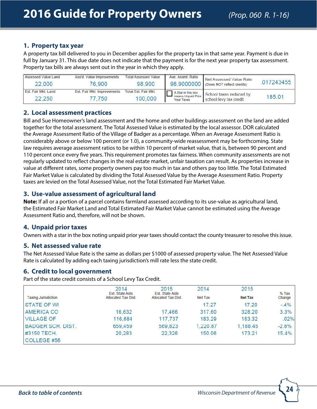#### **1. Property tax year**

A property tax bill delivered to you in December applies for the property tax in that same year. Payment is due in full by January 31. This due date does not indicate that the payment is for the next year property tax assessment. Property tax bills are always sent out in the year in which they apply.

| Assessed Value Land<br>22,000 | Ass'd. Value Improvements<br>76,900 | <b>Total Assessed Value</b><br>98,900 | Ave. Assmt. Ratio                           | Net Assessed Value Rate<br>98.9000000 (Does NOT reflect credits) | .017243455 |
|-------------------------------|-------------------------------------|---------------------------------------|---------------------------------------------|------------------------------------------------------------------|------------|
| Est. Fair Mkt. Land           | Est. Fair Mkt. Improvements         | <b>Total Est. Fair Mkt.</b>           | A Star in this box<br>means Unpaid Prior    | School taxes reduced by                                          | 185.01     |
| 22,250                        | 77.750                              | 100,000                               | school levy tax credit<br><b>Year Taxes</b> |                                                                  |            |

#### **2. Local assessment practices**

Bill and Sue Homeowner's land assessment and the home and other buildings assessment on the land are added together for the total assessment. The Total Assessed Value is estimated by the local assessor. DOR calculated the Average Assessment Ratio of the Village of Badger as a percentage. When an Average Assessment Ratio is considerably above or below 100 percent (or 1.0), a community-wide reassessment may be forthcoming. State law requires average assessment ratios to be within 10 percent of market value, that is, between 90 percent and 110 percent once every five years. This requirement promotes tax fairness. When community assessments are not regularly updated to reflect changes in the real estate market, unfair taxation can result. As properties increase in value at different rates, some property owners pay too much in tax and others pay too little. The Total Estimated Fair Market Value is calculated by dividing the Total Assessed Value by the Average Assessment Ratio. Property taxes are levied on the Total Assessed Value, not the Total Estimated Fair Market Value.

#### **3. Use-value assessment of agricultural land**

**Note:** If all or a portion of a parcel contains farmland assessed according to its use-value as agricultural land, the Estimated Fair Market Land and Total Estimated Fair Market Value cannot be estimated using the Average Assessment Ratio and, therefore, will not be shown.

#### **4. Unpaid prior taxes**

Owners with a star in the box noting unpaid prior year taxes should contact the county treasurer to resolve this issue.

#### **5. Net assessed value rate**

The Net Assessed Value Rate is the same as dollars per \$1000 of assessed property value. The Net Assessed Value Rate is calculated by adding each taxing jurisdiction's mill rate less the state credit.

#### **6. Credit to local government**

Part of the state credit consists of a School Levy Tax Credit.

|                            | 2014                                   | 2015                                   | 2014     | 2015           |                   |
|----------------------------|----------------------------------------|----------------------------------------|----------|----------------|-------------------|
| <b>Taxing Jurisdiction</b> | Est. State Aids<br>Allocated Tax Dist. | Est. State Aids<br>Allocated Tax Dist. | Net Tax  | <b>Net Tax</b> | $%$ Tax<br>Change |
| <b>STATE OF WI</b>         |                                        |                                        | 17.27    | 17.20          | $-4%$             |
| <b>AMERICA CO</b>          | 16,632                                 | 17,466                                 | 317.60   | 328.20         | 3.3%              |
| <b>VILLAGE OF</b>          | 116,684                                | 117,737                                | 183.29   | 183.32         | .02%              |
| <b>BADGER SCH. DIST.</b>   | 659,459                                | 569,823                                | 1,220.87 | 1,188.45       | $-2.6%$           |
| #3150 TECH.                | 20,283                                 | 22,326                                 | 150.06   | 173.21         | 15.4%             |
| COLLEGE #56                |                                        |                                        |          |                |                   |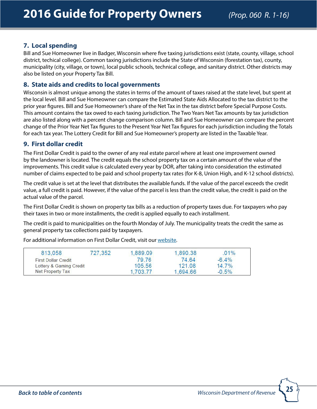#### **7. Local spending**

Bill and Sue Homeowner live in Badger, Wisconsin where five taxing jurisdictions exist (state, county, village, school district, techical college). Common taxing jurisdictions include the State of Wisconsin (forestation tax), county, municipality (city, village, or town), local public schools, technical college, and sanitary district. Other districts may also be listed on your Property Tax Bill.

#### **8. State aids and credits to local governments**

Wisconsin is almost unique among the states in terms of the amount of taxes raised at the state level, but spent at the local level. Bill and Sue Homeowner can compare the Estimated State Aids Allocated to the tax district to the prior year figures. Bill and Sue Homeowner's share of the Net Tax in the tax district before Special Purpose Costs. This amount contains the tax owed to each taxing jurisdiction. The Two Years Net Tax amounts by tax jurisdiction are also listed along with a percent change comparison column. Bill and Sue Homeowner can compare the percent change of the Prior Year Net Tax figures to the Present Year Net Tax figures for each jurisdiction including the Totals for each tax year. The Lottery Credit for Bill and Sue Homeowner's property are listed in the Taxable Year.

#### **9. First dollar credit**

The First Dollar Credit is paid to the owner of any real estate parcel where at least one improvement owned by the landowner is located. The credit equals the school property tax on a certain amount of the value of the improvements. This credit value is calculated every year by DOR, after taking into consideration the estimated number of claims expected to be paid and school property tax rates (for K-8, Union High, and K-12 school districts).

The credit value is set at the level that distributes the available funds. If the value of the parcel exceeds the credit value, a full credit is paid. However, if the value of the parcel is less than the credit value, the credit is paid on the actual value of the parcel.

The First Dollar Credit is shown on property tax bills as a reduction of property taxes due. For taxpayers who pay their taxes in two or more installments, the credit is applied equally to each installment.

The credit is paid to municipalities on the fourth Monday of July. The municipality treats the credit the same as general property tax collections paid by taxpayers.

For additional information on First Dollar Credit, visit our [website](https://www.revenue.wi.gov/faqs/slf/fdolcred.html).

| 813,058                    | 727,352 | 1,889.09 | 1,890.38 | $.01\%$  |
|----------------------------|---------|----------|----------|----------|
| <b>First Dollar Credit</b> |         | 79.76    | 74.64    | $-6.4\%$ |
| Lottery & Gaming Credit    |         | 105.56   | 121.08   | $14.7\%$ |
| Net Property Tax           |         | 1.703.77 | 1.694.66 | $-0.5%$  |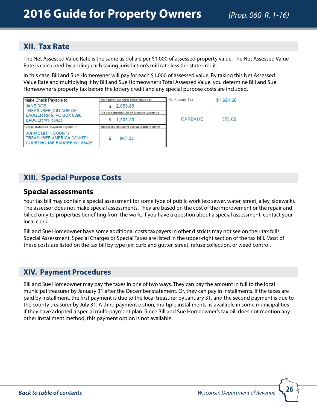## <span id="page-25-0"></span>**XII. Tax Rate**

The Net Assessed Value Rate is the same as dollars per \$1,000 of assessed property value. The Net Assessed Value Rate is calculated by adding each taxing jurisdiction's mill rate less the state credit.

In this case, Bill and Sue Homeowner will pay for each \$1,000 of assessed value. By taking this Net Assessed Value Rate and multiplying it by Bill and Sue Homeowner's Total Assessed Value, you determine Bill and Sue Homeowner's property tax before the lottery credit and any special purpose costs are included.

| Make Check Payable to:                                                                     | Full Payment Due On or Before January 31         | Net Property Tax | \$1,694.66 |
|--------------------------------------------------------------------------------------------|--------------------------------------------------|------------------|------------|
| <b>JANE DOE</b>                                                                            | 2.053.68                                         |                  |            |
| <b>TREASURER, VILLAGE OF</b><br>BADGER RR 9, PO BOX 6890                                   | Or First Installment Due On or Before January 31 |                  |            |
| BADGER WI 58425                                                                            | 1,206.35                                         | <b>GARBAGE</b>   | 359.02     |
| Second Installment Payment Payable To:                                                     | And Second Installment Due On Or Before July 31  |                  |            |
| JOHN SMITH, COUNTY<br><b>TREASURER AMERICA COUNTY</b><br><b>COURTHOUSE BADGER WI 58425</b> | 847.33                                           |                  |            |

## **XIII. Special Purpose Costs**

### **Special assessments**

Your tax bill may contain a special assessment for some type of public work (ex: sewer, water, street, alley, sidewalk). The assessor does not make special assessments. They are based on the cost of the improvement or the repair and billed only to properties benefiting from the work. If you have a question about a special assessment, contact your local clerk.

Bill and Sue Homeowner have some additional costs taxpayers in other districts may not see on their tax bills. Special Assessment, Special Charges or Special Taxes are listed in the upper-right section of the tax bill. Most of these costs are listed on the tax bill by type (ex: curb and gutter, street, refuse collection, or weed control.

#### **XIV. Payment Procedures**

Bill and Sue Homeowner may pay the taxes in one of two ways. They can pay the amount in full to the local municipal treasurer by January 31 after the December statement. Or, they can pay in installments. If the taxes are paid by installment, the first payment is due to the local treasurer by January 31, and the second payment is due to the county treasurer by July 31. A third payment option, multiple installments, is available in some municipalities if they have adopted a special multi-payment plan. Since Bill and Sue Homeowner's tax bill does not mention any other installment method, this payment option is not available.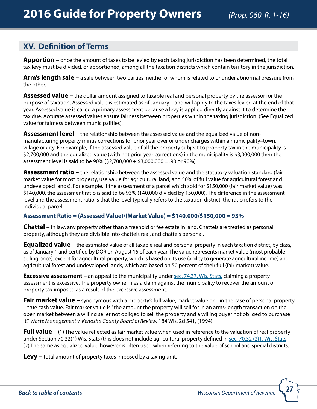## <span id="page-26-0"></span>**XV. Definition of Terms**

**Apportion –** once the amount of taxes to be levied by each taxing jurisdiction has been determined, the total tax levy must be divided, or apportioned, among all the taxation districts which contain territory in the jurisdiction.

**Arm's length sale –** a sale between two parties, neither of whom is related to or under abnormal pressure from the other.

**Assessed value –** the dollar amount assigned to taxable real and personal property by the assessor for the purpose of taxation. Assessed value is estimated as of January 1 and will apply to the taxes levied at the end of that year. Assessed value is called a primary assessment because a levy is applied directly against it to determine the tax due. Accurate assessed values ensure fairness between properties within the taxing jurisdiction. (See Equalized value for fairness between municipalities).

**Assessment level –** the relationship between the assessed value and the equalized value of nonmanufacturing property minus corrections for prior year over or under charges within a municipality–town, village or city. For example, if the assessed value of all the property subject to property tax in the municipality is \$2,700,000 and the equalized value (with not prior year corrections) in the municipality is \$3,000,000 then the assessment level is said to be 90% (\$2,700,000  $\div$  \$3,000,000 = .90 or 90%).

Assessment ratio – the relationship between the assessed value and the statutory valuation standard (fair market value for most property, use value for agricultural land, and 50% of full value for agricultural forest and undeveloped lands). For example, if the assessment of a parcel which sold for \$150,000 (fair market value) was \$140,000, the assessment ratio is said to be 93% (140,000 divided by 150,000). The difference in the assessment level and the assessment ratio is that the level typically refers to the taxation district; the ratio refers to the individual parcel.

#### **Assessment Ratio = (Assessed Value)/(Market Value) = \$140,000/\$150,000 = 93%**

**Chattel –** in law, any property other than a freehold or fee estate in land. Chattels are treated as personal property, although they are divisible into chattels real, and chattels personal.

**Equalized value –** the estimated value of all taxable real and personal property in each taxation district, by class, as of January 1 and certified by DOR on August 15 of each year. The value represents market value (most probable selling price), except for agricultural property, which is based on its use (ability to generate agricultural income) and agricultural forest and undeveloped lands, which are based on 50 percent of their full (fair market) value.

**Excessive assessment** – an appeal to the municipality under [sec. 74.37, Wis. Stats.](http://docs.legis.wisconsin.gov/statutes/statutes/74/V/37) claiming a property assessment is excessive. The property owner files a claim against the municipality to recover the amount of property tax imposed as a result of the excessive assessment.

**Fair market value –** synonymous with a property's full value, market value or – in the case of personal property – true cash value. Fair market value is "the amount the property will sell for in an arms-length transaction on the open market between a willing seller not obliged to sell the property and a willing buyer not obliged to purchase it." *Waste Management v. Kenosha County Board of Review,* 184 Wis. 2d 541, (1994).

**Full value –** (1) The value reflected as fair market value when used in reference to the valuation of real property under Section 70.32(1) Wis. Stats (this does not include agricultural property defined in [sec. 70.32 \(2\)1. Wis. Stats.](http://docs.legis.wisconsin.gov/statutes/statutes/70/32/) (2) The same as equalized value, however is often used when referring to the value of school and special districts.

**Levy –** total amount of property taxes imposed by a taxing unit.